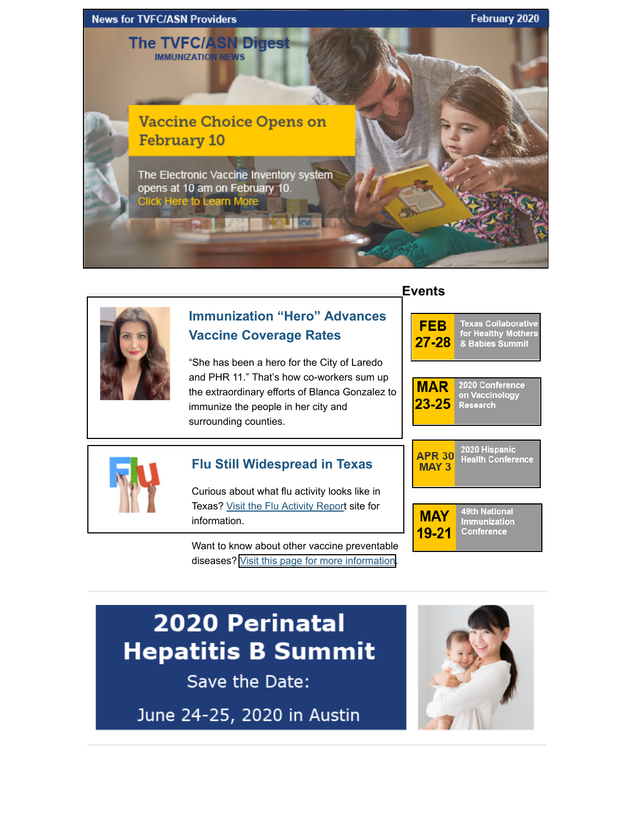



## **[Immunization "Hero" Advances](https://www.dshs.texas.gov/immunize/Immunization-News/TVFC-ASN-Digest/Immunization-%E2%80%9CHero%E2%80%9D-Advances-Vaccine-Coverage-Rates/) Vaccine Coverage Rates**

"She has been a hero for the City of Laredo and PHR 11." That's how co-workers sum up the extraordinary efforts of Blanca Gonzalez to immunize the people in her city and surrounding counties.

#### **Events**







## **[Flu Still Widespread in Texas](https://www.dshs.texas.gov/IDCU/disease/influenza/surveillance/2019-2020.aspx)**

Curious about what flu activity looks like in Texas? Visit the Flu Activity Report site for information.

Want to know about other vaccine preventable diseases? [Visit this page for more information.](https://www.dshs.texas.gov/IDCU/health/vaccine_preventable_diseases/Data.aspx)

2020 Hispanic **APR 30 Health Conference MAY3** 



# 2020 Perinatal Hepatitis B Summit

Save the Date:

June 24-25, 2020 in Austin